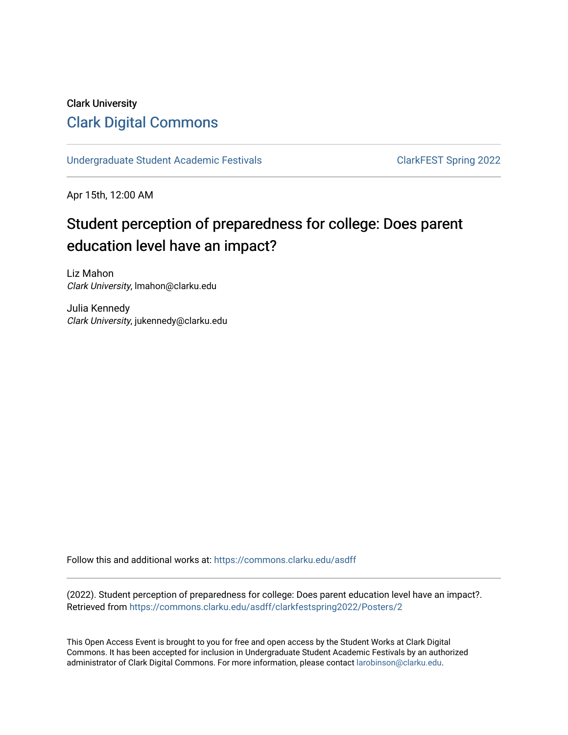#### Clark University [Clark Digital Commons](https://commons.clarku.edu/)

[Undergraduate Student Academic Festivals](https://commons.clarku.edu/asdff) ClarkFEST Spring 2022

Apr 15th, 12:00 AM

#### Student perception of preparedness for college: Does parent education level have an impact?

Liz Mahon Clark University, lmahon@clarku.edu

Julia Kennedy Clark University, jukennedy@clarku.edu

Follow this and additional works at: [https://commons.clarku.edu/asdff](https://commons.clarku.edu/asdff?utm_source=commons.clarku.edu%2Fasdff%2Fclarkfestspring2022%2FPosters%2F2&utm_medium=PDF&utm_campaign=PDFCoverPages)

(2022). Student perception of preparedness for college: Does parent education level have an impact?. Retrieved from [https://commons.clarku.edu/asdff/clarkfestspring2022/Posters/2](https://commons.clarku.edu/asdff/clarkfestspring2022/Posters/2?utm_source=commons.clarku.edu%2Fasdff%2Fclarkfestspring2022%2FPosters%2F2&utm_medium=PDF&utm_campaign=PDFCoverPages) 

This Open Access Event is brought to you for free and open access by the Student Works at Clark Digital Commons. It has been accepted for inclusion in Undergraduate Student Academic Festivals by an authorized administrator of Clark Digital Commons. For more information, please contact [larobinson@clarku.edu](mailto:larobinson@clarku.edu).